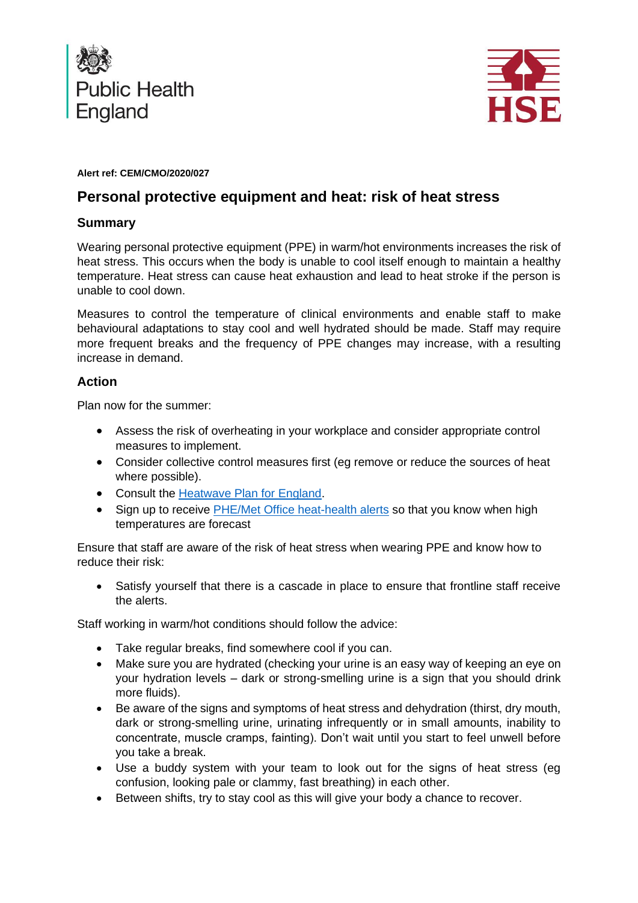



#### **Alert ref: CEM/CMO/2020/027**

# **Personal protective equipment and heat: risk of heat stress**

# **Summary**

Wearing personal protective equipment (PPE) in warm/hot environments increases the risk of heat stress. This occurs when the body is unable to cool itself enough to maintain a healthy temperature. Heat stress can cause heat exhaustion and lead to heat stroke if the person is unable to cool down.

Measures to control the temperature of clinical environments and enable staff to make behavioural adaptations to stay cool and well hydrated should be made. Staff may require more frequent breaks and the frequency of PPE changes may increase, with a resulting increase in demand.

# **Action**

Plan now for the summer:

- Assess the risk of overheating in your workplace and consider appropriate control measures to implement.
- Consider collective control measures first (eg remove or reduce the sources of heat where possible).
- Consult the [Heatwave Plan for England.](https://www.gov.uk/government/publications/heatwave-plan-for-england)
- Sign up to receive [PHE/Met Office heat-health alerts](https://www.metoffice.gov.uk/public/weather/heat-health/?tab=heatHealth&season=normal) so that you know when high temperatures are forecast

Ensure that staff are aware of the risk of heat stress when wearing PPE and know how to reduce their risk:

• Satisfy yourself that there is a cascade in place to ensure that frontline staff receive the alerts.

Staff working in warm/hot conditions should follow the advice:

- Take regular breaks, find somewhere cool if you can.
- Make sure you are hydrated (checking your urine is an easy way of keeping an eye on your hydration levels – dark or strong-smelling urine is a sign that you should drink more fluids).
- Be aware of the signs and symptoms of heat stress and dehydration (thirst, dry mouth, dark or strong-smelling urine, urinating infrequently or in small amounts, inability to concentrate, muscle cramps, fainting). Don't wait until you start to feel unwell before you take a break.
- Use a buddy system with your team to look out for the signs of heat stress (eg confusion, looking pale or clammy, fast breathing) in each other.
- Between shifts, try to stay cool as this will give your body a chance to recover.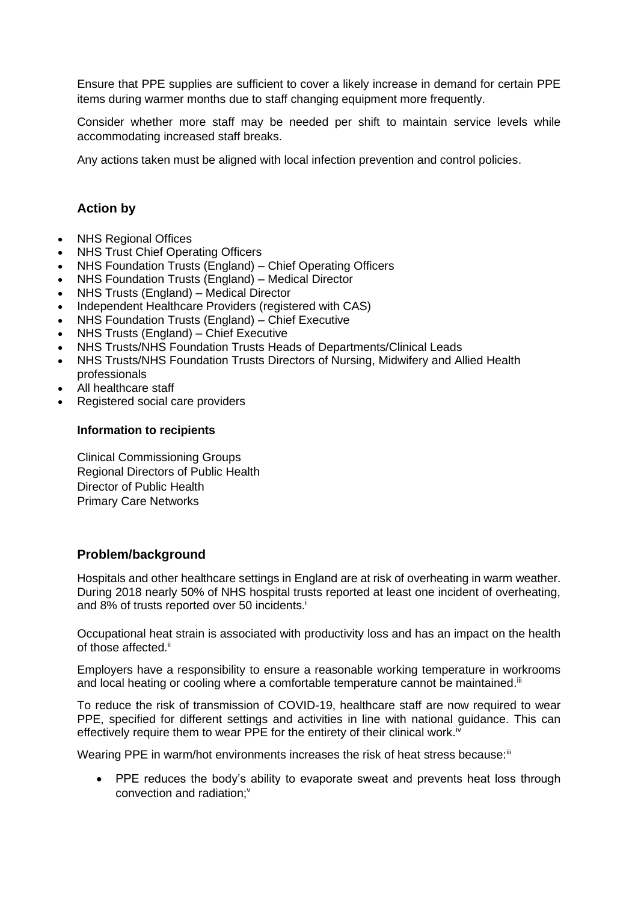Ensure that PPE supplies are sufficient to cover a likely increase in demand for certain PPE items during warmer months due to staff changing equipment more frequently.

Consider whether more staff may be needed per shift to maintain service levels while accommodating increased staff breaks.

Any actions taken must be aligned with local infection prevention and control policies.

### **Action by**

- NHS Regional Offices
- **NHS Trust Chief Operating Officers**
- NHS Foundation Trusts (England) Chief Operating Officers
- NHS Foundation Trusts (England) Medical Director
- NHS Trusts (England) Medical Director
- Independent Healthcare Providers (registered with CAS)
- NHS Foundation Trusts (England) Chief Executive
- NHS Trusts (England) Chief Executive
- NHS Trusts/NHS Foundation Trusts Heads of Departments/Clinical Leads
- NHS Trusts/NHS Foundation Trusts Directors of Nursing, Midwifery and Allied Health professionals
- All healthcare staff
- Registered social care providers

#### **Information to recipients**

Clinical Commissioning Groups Regional Directors of Public Health Director of Public Health Primary Care Networks

#### **Problem/background**

Hospitals and other healthcare settings in England are at risk of overheating in warm weather. During 2018 nearly 50% of NHS hospital trusts reported at least one incident of overheating, and 8% of trusts reported over 50 incidents.<sup>i</sup>

Occupational heat strain is associated with productivity loss and has an impact on the health of those affected.<sup>ii</sup>

Employers have a responsibility to ensure a reasonable working temperature in workrooms and local heating or cooling where a comfortable temperature cannot be maintained.<sup>iii</sup>

To reduce the risk of transmission of COVID-19, healthcare staff are now required to wear PPE, specified for different settings and activities in line with national guidance. This can effectively require them to wear PPE for the entirety of their clinical work.<sup>iv</sup>

Wearing PPE in warm/hot environments increases the risk of heat stress because:<sup>iii</sup>

• PPE reduces the body's ability to evaporate sweat and prevents heat loss through convection and radiation:<sup>v</sup>